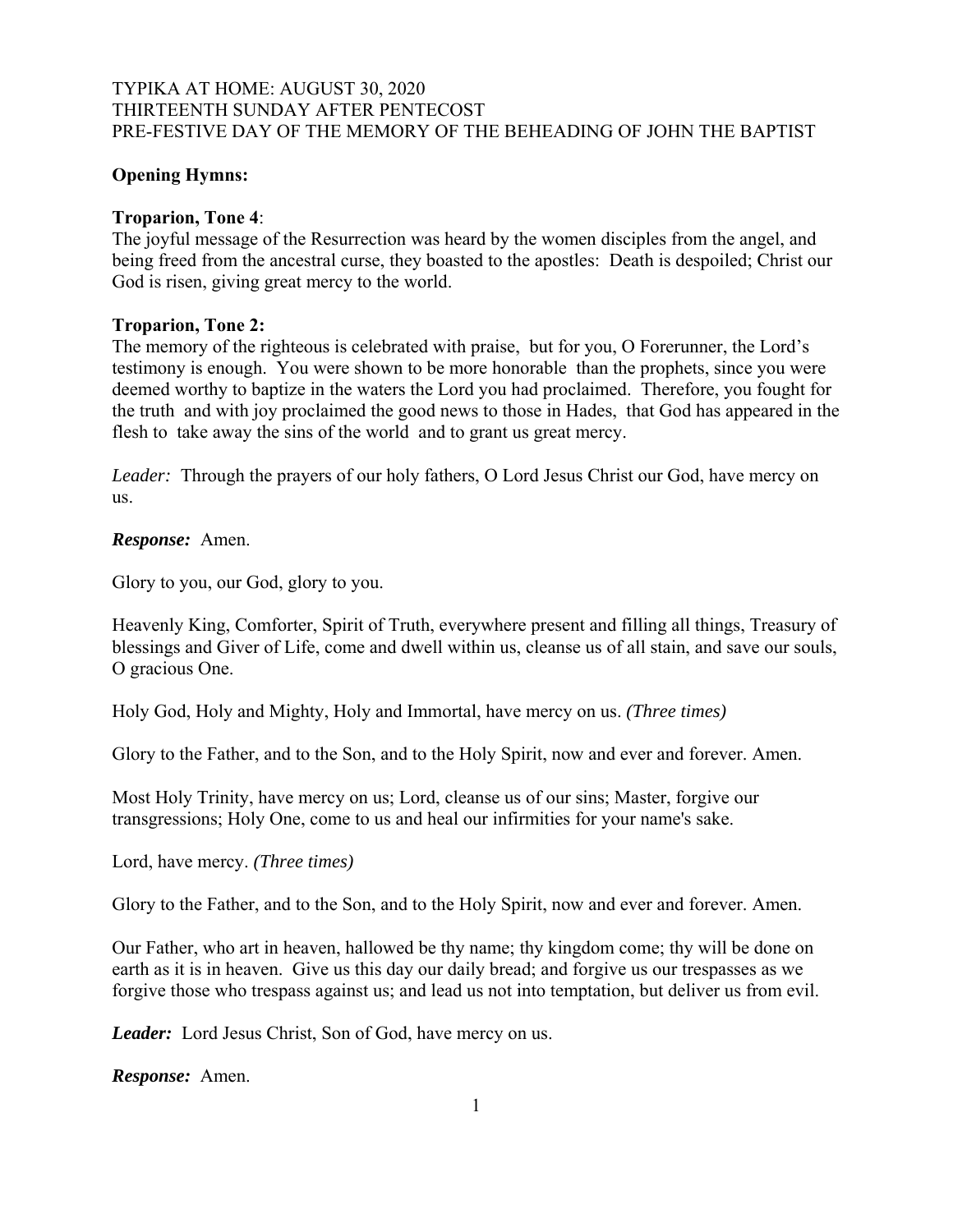# TYPIKA AT HOME: AUGUST 30, 2020 THIRTEENTH SUNDAY AFTER PENTECOST PRE-FESTIVE DAY OF THE MEMORY OF THE BEHEADING OF JOHN THE BAPTIST

# **Opening Hymns:**

# **Troparion, Tone 4**:

The joyful message of the Resurrection was heard by the women disciples from the angel, and being freed from the ancestral curse, they boasted to the apostles: Death is despoiled; Christ our God is risen, giving great mercy to the world.

# **Troparion, Tone 2:**

The memory of the righteous is celebrated with praise, but for you, O Forerunner, the Lord's testimony is enough. You were shown to be more honorable than the prophets, since you were deemed worthy to baptize in the waters the Lord you had proclaimed. Therefore, you fought for the truth and with joy proclaimed the good news to those in Hades, that God has appeared in the flesh to take away the sins of the world and to grant us great mercy.

*Leader:* Through the prayers of our holy fathers, O Lord Jesus Christ our God, have mercy on us.

*Response:* Amen.

Glory to you, our God, glory to you.

Heavenly King, Comforter, Spirit of Truth, everywhere present and filling all things, Treasury of blessings and Giver of Life, come and dwell within us, cleanse us of all stain, and save our souls, O gracious One.

Holy God, Holy and Mighty, Holy and Immortal, have mercy on us. *(Three times)* 

Glory to the Father, and to the Son, and to the Holy Spirit, now and ever and forever. Amen.

Most Holy Trinity, have mercy on us; Lord, cleanse us of our sins; Master, forgive our transgressions; Holy One, come to us and heal our infirmities for your name's sake.

Lord, have mercy. *(Three times)*

Glory to the Father, and to the Son, and to the Holy Spirit, now and ever and forever. Amen.

Our Father, who art in heaven, hallowed be thy name; thy kingdom come; thy will be done on earth as it is in heaven. Give us this day our daily bread; and forgive us our trespasses as we forgive those who trespass against us; and lead us not into temptation, but deliver us from evil.

*Leader:* Lord Jesus Christ, Son of God, have mercy on us.

*Response:* Amen.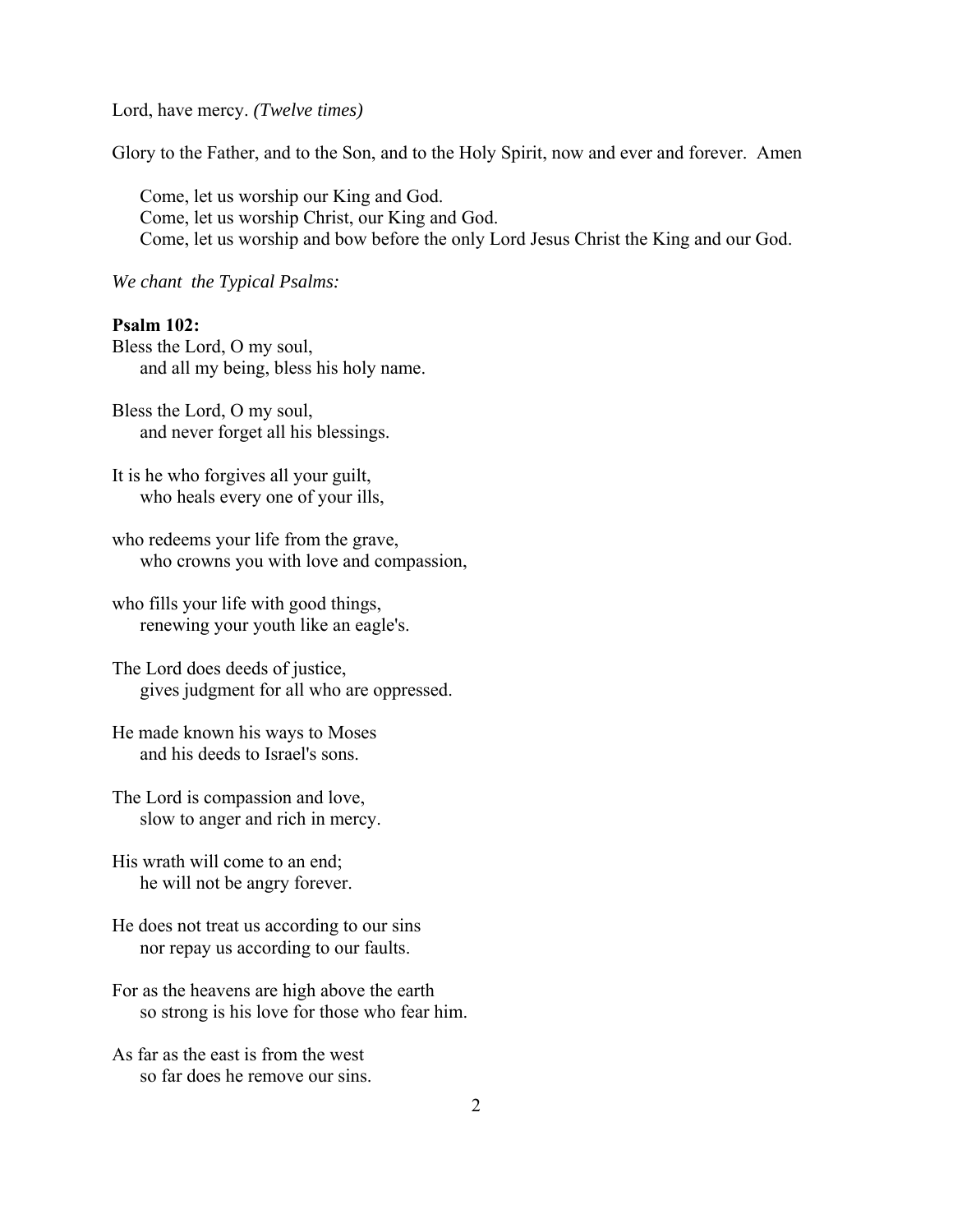Lord, have mercy. *(Twelve times)*

Glory to the Father, and to the Son, and to the Holy Spirit, now and ever and forever. Amen

Come, let us worship our King and God. Come, let us worship Christ, our King and God. Come, let us worship and bow before the only Lord Jesus Christ the King and our God.

*We chant the Typical Psalms:*

# **Psalm 102:**

Bless the Lord, O my soul, and all my being, bless his holy name.

Bless the Lord, O my soul, and never forget all his blessings.

It is he who forgives all your guilt, who heals every one of your ills,

who redeems your life from the grave, who crowns you with love and compassion,

who fills your life with good things, renewing your youth like an eagle's.

The Lord does deeds of justice, gives judgment for all who are oppressed.

He made known his ways to Moses and his deeds to Israel's sons.

The Lord is compassion and love, slow to anger and rich in mercy.

His wrath will come to an end; he will not be angry forever.

He does not treat us according to our sins nor repay us according to our faults.

For as the heavens are high above the earth so strong is his love for those who fear him.

As far as the east is from the west so far does he remove our sins.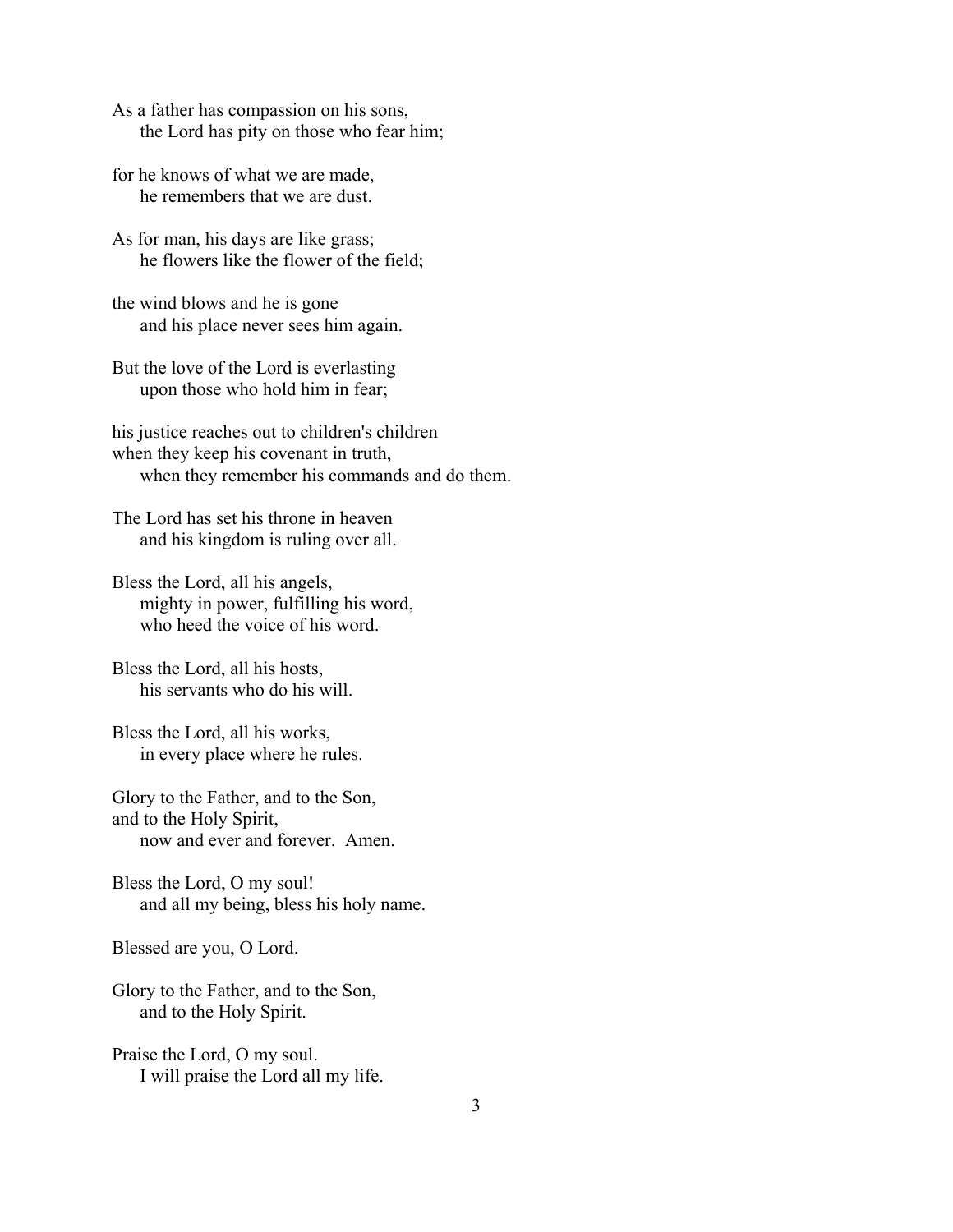As a father has compassion on his sons, the Lord has pity on those who fear him;

for he knows of what we are made, he remembers that we are dust.

As for man, his days are like grass; he flowers like the flower of the field;

the wind blows and he is gone and his place never sees him again.

But the love of the Lord is everlasting upon those who hold him in fear;

his justice reaches out to children's children when they keep his covenant in truth, when they remember his commands and do them.

The Lord has set his throne in heaven and his kingdom is ruling over all.

Bless the Lord, all his angels, mighty in power, fulfilling his word, who heed the voice of his word.

Bless the Lord, all his hosts, his servants who do his will.

Bless the Lord, all his works, in every place where he rules.

Glory to the Father, and to the Son, and to the Holy Spirit, now and ever and forever. Amen.

Bless the Lord, O my soul! and all my being, bless his holy name.

Blessed are you, O Lord.

Glory to the Father, and to the Son, and to the Holy Spirit.

Praise the Lord, O my soul. I will praise the Lord all my life.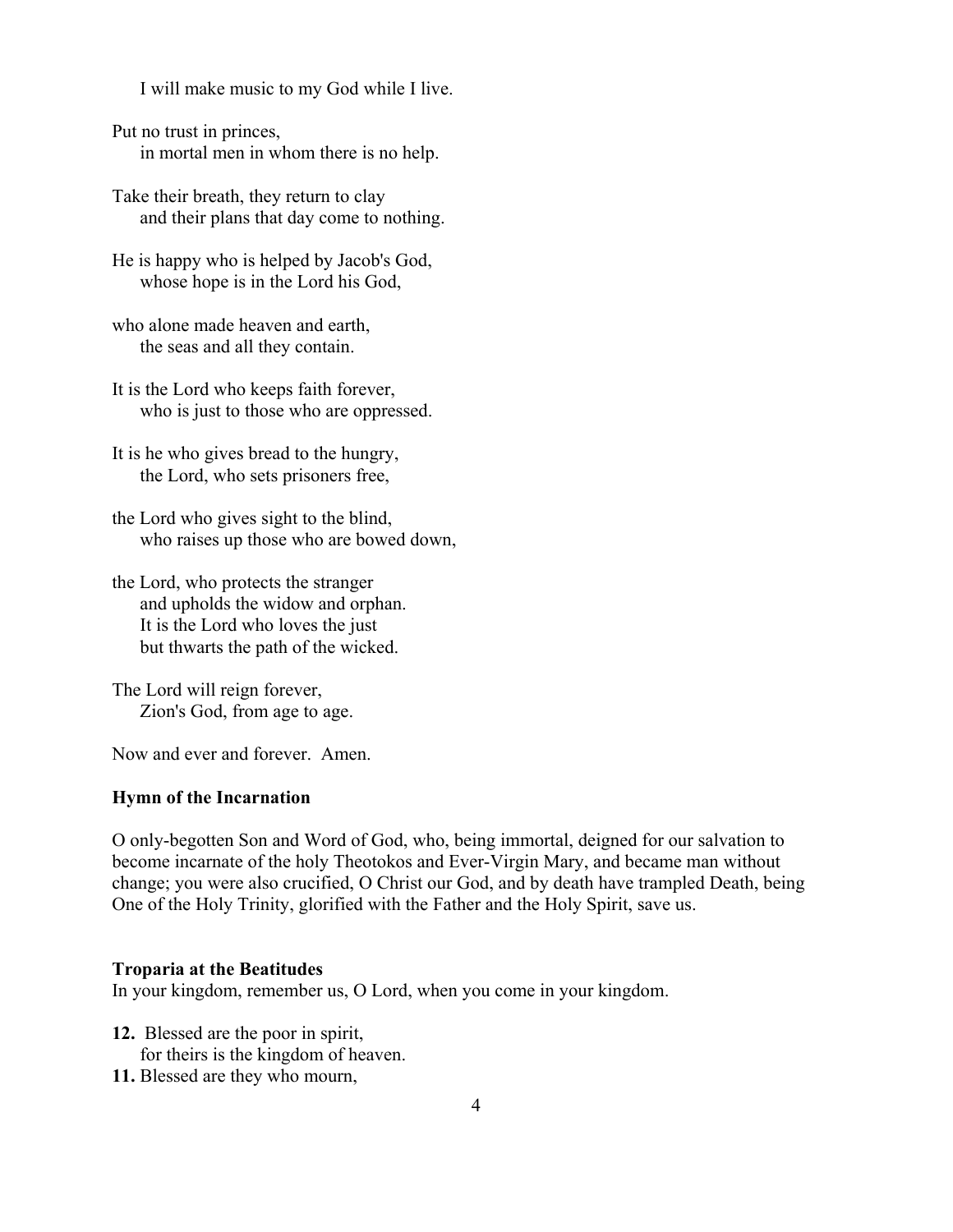I will make music to my God while I live.

Put no trust in princes, in mortal men in whom there is no help.

Take their breath, they return to clay and their plans that day come to nothing.

He is happy who is helped by Jacob's God, whose hope is in the Lord his God,

who alone made heaven and earth, the seas and all they contain.

It is the Lord who keeps faith forever, who is just to those who are oppressed.

It is he who gives bread to the hungry, the Lord, who sets prisoners free,

the Lord who gives sight to the blind, who raises up those who are bowed down,

the Lord, who protects the stranger and upholds the widow and orphan. It is the Lord who loves the just but thwarts the path of the wicked.

The Lord will reign forever, Zion's God, from age to age.

Now and ever and forever. Amen.

# **Hymn of the Incarnation**

O only-begotten Son and Word of God, who, being immortal, deigned for our salvation to become incarnate of the holy Theotokos and Ever-Virgin Mary, and became man without change; you were also crucified, O Christ our God, and by death have trampled Death, being One of the Holy Trinity, glorified with the Father and the Holy Spirit, save us.

#### **Troparia at the Beatitudes**

In your kingdom, remember us, O Lord, when you come in your kingdom.

- **12.** Blessed are the poor in spirit, for theirs is the kingdom of heaven.
- **11.** Blessed are they who mourn,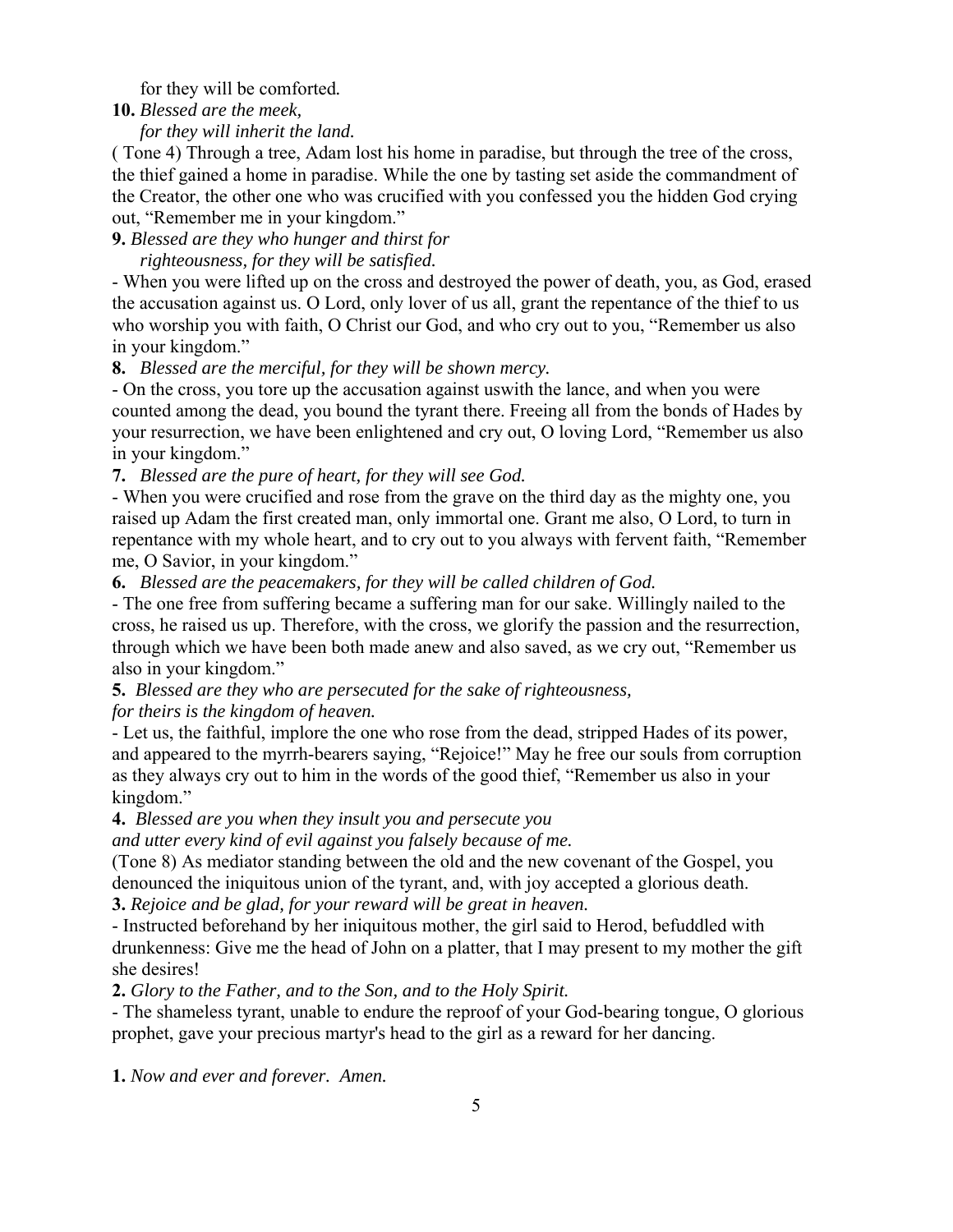for they will be comforted*.*

# **10.** *Blessed are the meek,*

 *for they will inherit the land.*

( Tone 4) Through a tree, Adam lost his home in paradise, but through the tree of the cross, the thief gained a home in paradise. While the one by tasting set aside the commandment of the Creator, the other one who was crucified with you confessed you the hidden God crying out, "Remember me in your kingdom."

**9.** *Blessed are they who hunger and thirst for* 

 *righteousness, for they will be satisfied.* 

- When you were lifted up on the cross and destroyed the power of death, you, as God, erased the accusation against us. O Lord, only lover of us all, grant the repentance of the thief to us who worship you with faith, O Christ our God, and who cry out to you, "Remember us also in your kingdom."

**8.** *Blessed are the merciful, for they will be shown mercy.*

- On the cross, you tore up the accusation against uswith the lance, and when you were counted among the dead, you bound the tyrant there. Freeing all from the bonds of Hades by your resurrection, we have been enlightened and cry out, O loving Lord, "Remember us also in your kingdom."

**7.** *Blessed are the pure of heart, for they will see God.*

- When you were crucified and rose from the grave on the third day as the mighty one, you raised up Adam the first created man, only immortal one. Grant me also, O Lord, to turn in repentance with my whole heart, and to cry out to you always with fervent faith, "Remember me, O Savior, in your kingdom."

**6.** *Blessed are the peacemakers, for they will be called children of God.*

- The one free from suffering became a suffering man for our sake. Willingly nailed to the cross, he raised us up. Therefore, with the cross, we glorify the passion and the resurrection, through which we have been both made anew and also saved, as we cry out, "Remember us also in your kingdom."

**5.** *Blessed are they who are persecuted for the sake of righteousness,* 

*for theirs is the kingdom of heaven.* 

- Let us, the faithful, implore the one who rose from the dead, stripped Hades of its power, and appeared to the myrrh-bearers saying, "Rejoice!" May he free our souls from corruption as they always cry out to him in the words of the good thief, "Remember us also in your kingdom."

**4.** *Blessed are you when they insult you and persecute you* 

*and utter every kind of evil against you falsely because of me.* 

(Tone 8) As mediator standing between the old and the new covenant of the Gospel, you denounced the iniquitous union of the tyrant, and, with joy accepted a glorious death.

**3.** *Rejoice and be glad, for your reward will be great in heaven.* 

- Instructed beforehand by her iniquitous mother, the girl said to Herod, befuddled with drunkenness: Give me the head of John on a platter, that I may present to my mother the gift she desires!

**2.** *Glory to the Father, and to the Son, and to the Holy Spirit.* 

- The shameless tyrant, unable to endure the reproof of your God-bearing tongue, O glorious prophet, gave your precious martyr's head to the girl as a reward for her dancing.

**1.** *Now and ever and forever. Amen.*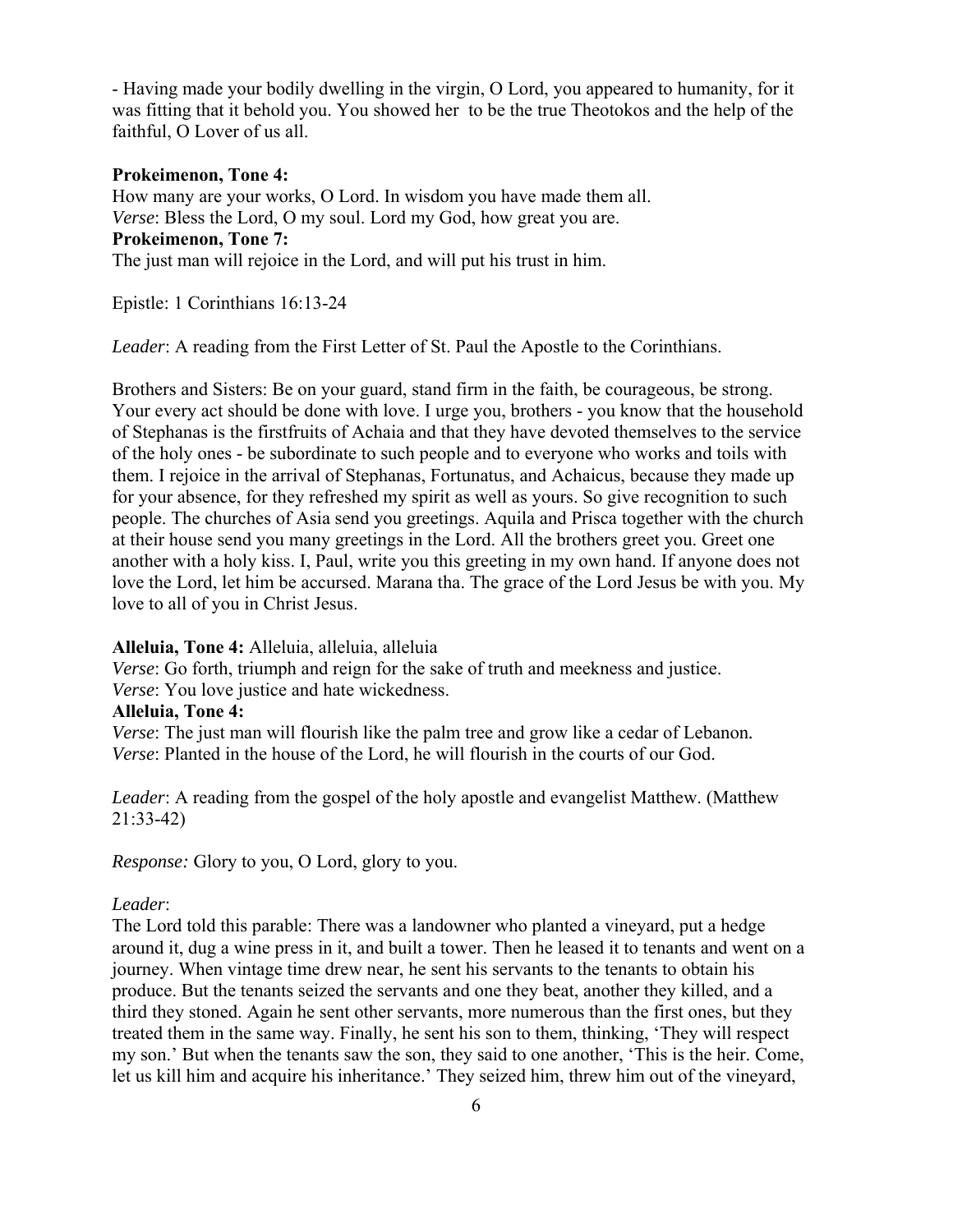- Having made your bodily dwelling in the virgin, O Lord, you appeared to humanity, for it was fitting that it behold you. You showed her to be the true Theotokos and the help of the faithful, O Lover of us all.

### **Prokeimenon, Tone 4:**

How many are your works, O Lord. In wisdom you have made them all. *Verse*: Bless the Lord, O my soul. Lord my God, how great you are. **Prokeimenon, Tone 7:** The just man will rejoice in the Lord, and will put his trust in him.

Epistle: 1 Corinthians 16:13-24

*Leader*: A reading from the First Letter of St. Paul the Apostle to the Corinthians.

Brothers and Sisters: Be on your guard, stand firm in the faith, be courageous, be strong. Your every act should be done with love. I urge you, brothers - you know that the household of Stephanas is the firstfruits of Achaia and that they have devoted themselves to the service of the holy ones - be subordinate to such people and to everyone who works and toils with them. I rejoice in the arrival of Stephanas, Fortunatus, and Achaicus, because they made up for your absence, for they refreshed my spirit as well as yours. So give recognition to such people. The churches of Asia send you greetings. Aquila and Prisca together with the church at their house send you many greetings in the Lord. All the brothers greet you. Greet one another with a holy kiss. I, Paul, write you this greeting in my own hand. If anyone does not love the Lord, let him be accursed. Marana tha. The grace of the Lord Jesus be with you. My love to all of you in Christ Jesus.

#### **Alleluia, Tone 4:** Alleluia, alleluia, alleluia

*Verse*: Go forth, triumph and reign for the sake of truth and meekness and justice.

*Verse*: You love justice and hate wickedness.

# **Alleluia, Tone 4:**

*Verse*: The just man will flourish like the palm tree and grow like a cedar of Lebanon*. Verse*: Planted in the house of the Lord, he will flourish in the courts of our God.

*Leader*: A reading from the gospel of the holy apostle and evangelist Matthew. (Matthew 21:33-42)

*Response:* Glory to you, O Lord, glory to you.

### *Leader*:

The Lord told this parable: There was a landowner who planted a vineyard, put a hedge around it, dug a wine press in it, and built a tower. Then he leased it to tenants and went on a journey. When vintage time drew near, he sent his servants to the tenants to obtain his produce. But the tenants seized the servants and one they beat, another they killed, and a third they stoned. Again he sent other servants, more numerous than the first ones, but they treated them in the same way. Finally, he sent his son to them, thinking, 'They will respect my son.' But when the tenants saw the son, they said to one another, 'This is the heir. Come, let us kill him and acquire his inheritance.' They seized him, threw him out of the vineyard,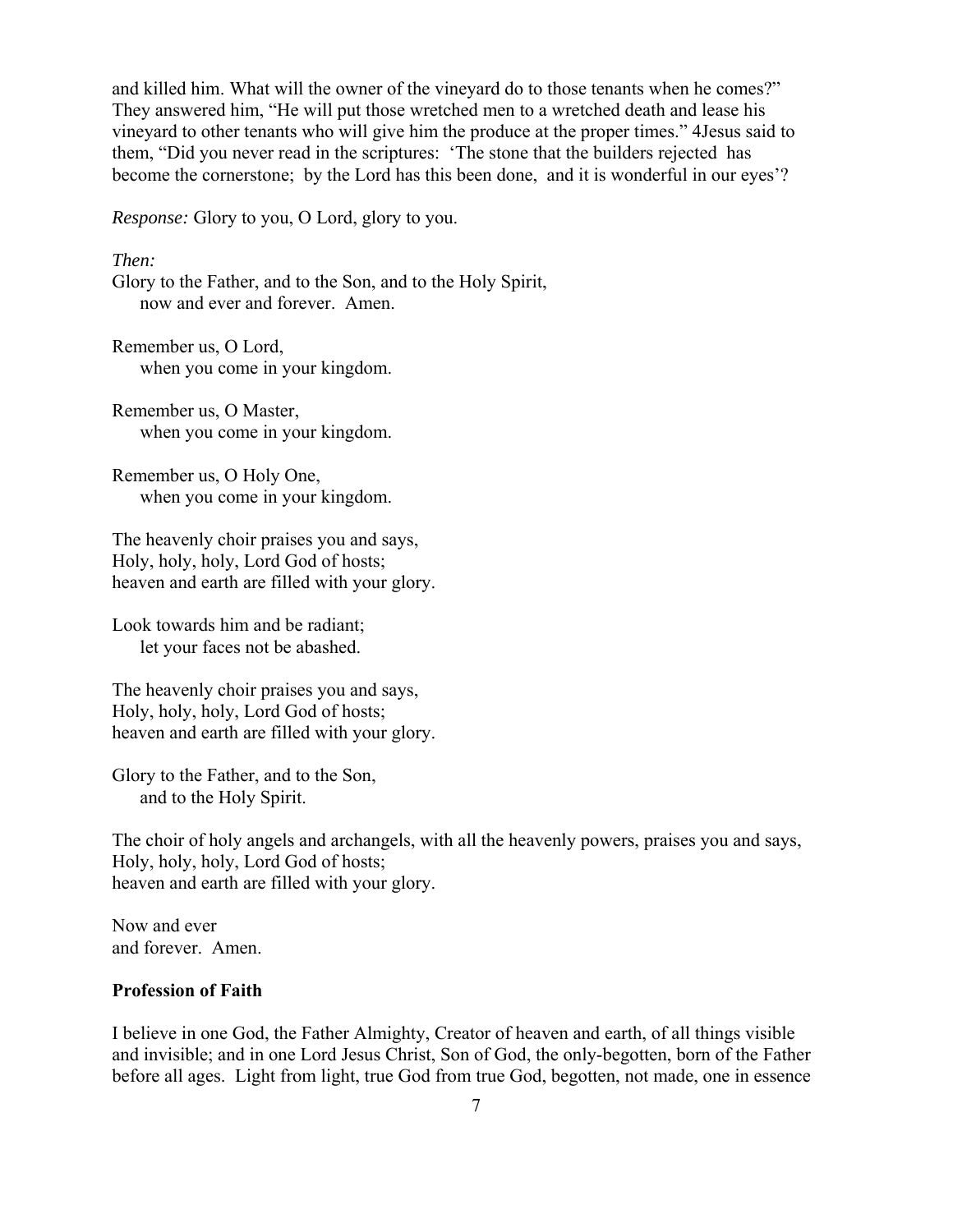and killed him. What will the owner of the vineyard do to those tenants when he comes?" They answered him, "He will put those wretched men to a wretched death and lease his vineyard to other tenants who will give him the produce at the proper times." 4Jesus said to them, "Did you never read in the scriptures: 'The stone that the builders rejected has become the cornerstone; by the Lord has this been done, and it is wonderful in our eyes'?

*Response:* Glory to you, O Lord, glory to you.

*Then:* 

Glory to the Father, and to the Son, and to the Holy Spirit, now and ever and forever. Amen.

Remember us, O Lord, when you come in your kingdom.

Remember us, O Master, when you come in your kingdom.

Remember us, O Holy One, when you come in your kingdom.

The heavenly choir praises you and says, Holy, holy, holy, Lord God of hosts; heaven and earth are filled with your glory.

Look towards him and be radiant; let your faces not be abashed.

The heavenly choir praises you and says, Holy, holy, holy, Lord God of hosts; heaven and earth are filled with your glory.

Glory to the Father, and to the Son, and to the Holy Spirit.

The choir of holy angels and archangels, with all the heavenly powers, praises you and says, Holy, holy, holy, Lord God of hosts; heaven and earth are filled with your glory.

Now and ever and forever. Amen.

# **Profession of Faith**

I believe in one God, the Father Almighty, Creator of heaven and earth, of all things visible and invisible; and in one Lord Jesus Christ, Son of God, the only-begotten, born of the Father before all ages. Light from light, true God from true God, begotten, not made, one in essence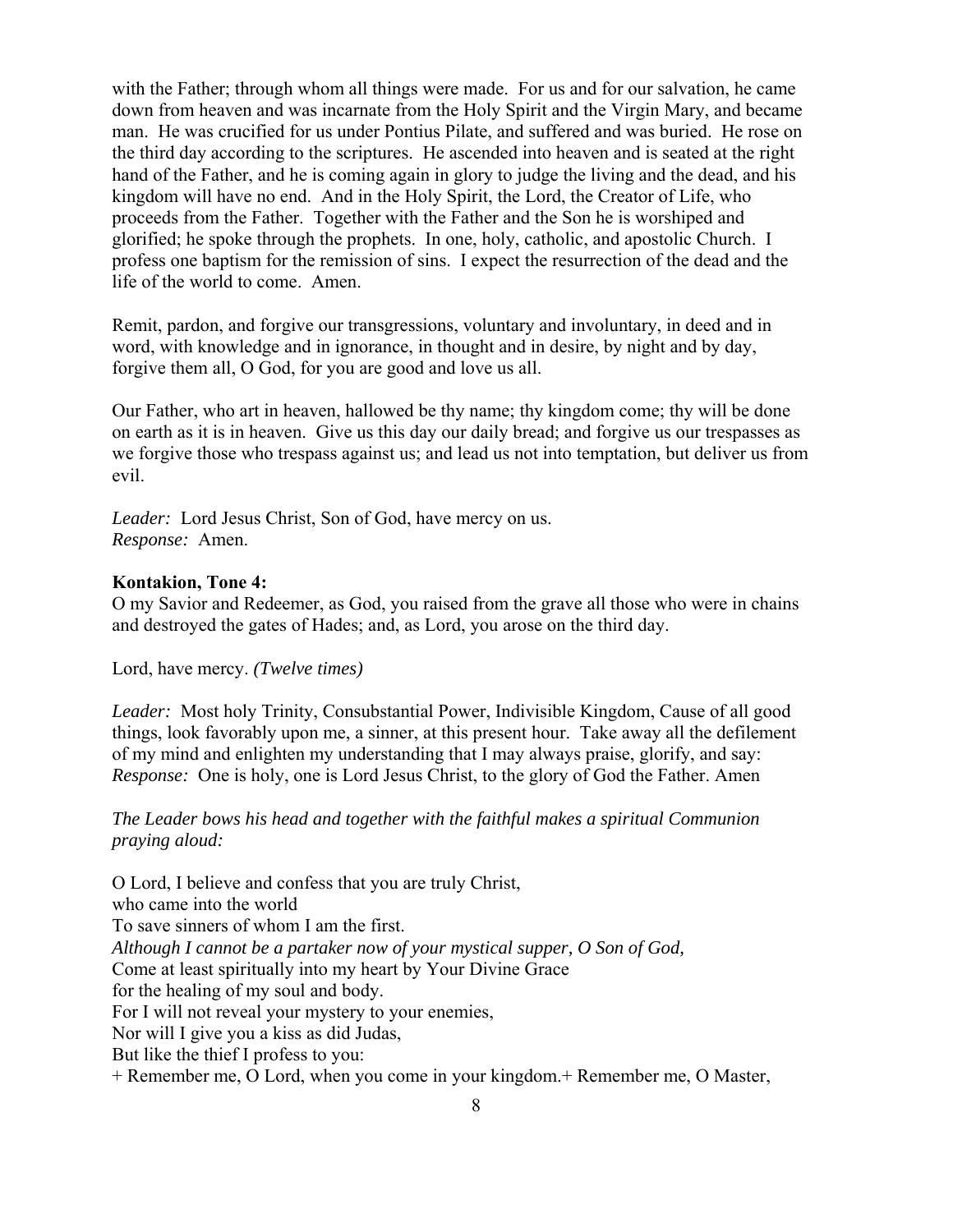with the Father; through whom all things were made. For us and for our salvation, he came down from heaven and was incarnate from the Holy Spirit and the Virgin Mary, and became man. He was crucified for us under Pontius Pilate, and suffered and was buried. He rose on the third day according to the scriptures. He ascended into heaven and is seated at the right hand of the Father, and he is coming again in glory to judge the living and the dead, and his kingdom will have no end. And in the Holy Spirit, the Lord, the Creator of Life, who proceeds from the Father. Together with the Father and the Son he is worshiped and glorified; he spoke through the prophets. In one, holy, catholic, and apostolic Church. I profess one baptism for the remission of sins. I expect the resurrection of the dead and the life of the world to come. Amen.

Remit, pardon, and forgive our transgressions, voluntary and involuntary, in deed and in word, with knowledge and in ignorance, in thought and in desire, by night and by day, forgive them all, O God, for you are good and love us all.

Our Father, who art in heaven, hallowed be thy name; thy kingdom come; thy will be done on earth as it is in heaven. Give us this day our daily bread; and forgive us our trespasses as we forgive those who trespass against us; and lead us not into temptation, but deliver us from evil.

*Leader:* Lord Jesus Christ, Son of God, have mercy on us. *Response:* Amen.

# **Kontakion, Tone 4:**

O my Savior and Redeemer, as God, you raised from the grave all those who were in chains and destroyed the gates of Hades; and, as Lord, you arose on the third day.

Lord, have mercy. *(Twelve times)*

*Leader:* Most holy Trinity, Consubstantial Power, Indivisible Kingdom, Cause of all good things, look favorably upon me, a sinner, at this present hour. Take away all the defilement of my mind and enlighten my understanding that I may always praise, glorify, and say: *Response:* One is holy, one is Lord Jesus Christ, to the glory of God the Father. Amen

# *The Leader bows his head and together with the faithful makes a spiritual Communion praying aloud:*

O Lord, I believe and confess that you are truly Christ, who came into the world To save sinners of whom I am the first. *Although I cannot be a partaker now of your mystical supper, O Son of God,* Come at least spiritually into my heart by Your Divine Grace for the healing of my soul and body. For I will not reveal your mystery to your enemies, Nor will I give you a kiss as did Judas, But like the thief I profess to you:

+ Remember me, O Lord, when you come in your kingdom.+ Remember me, O Master,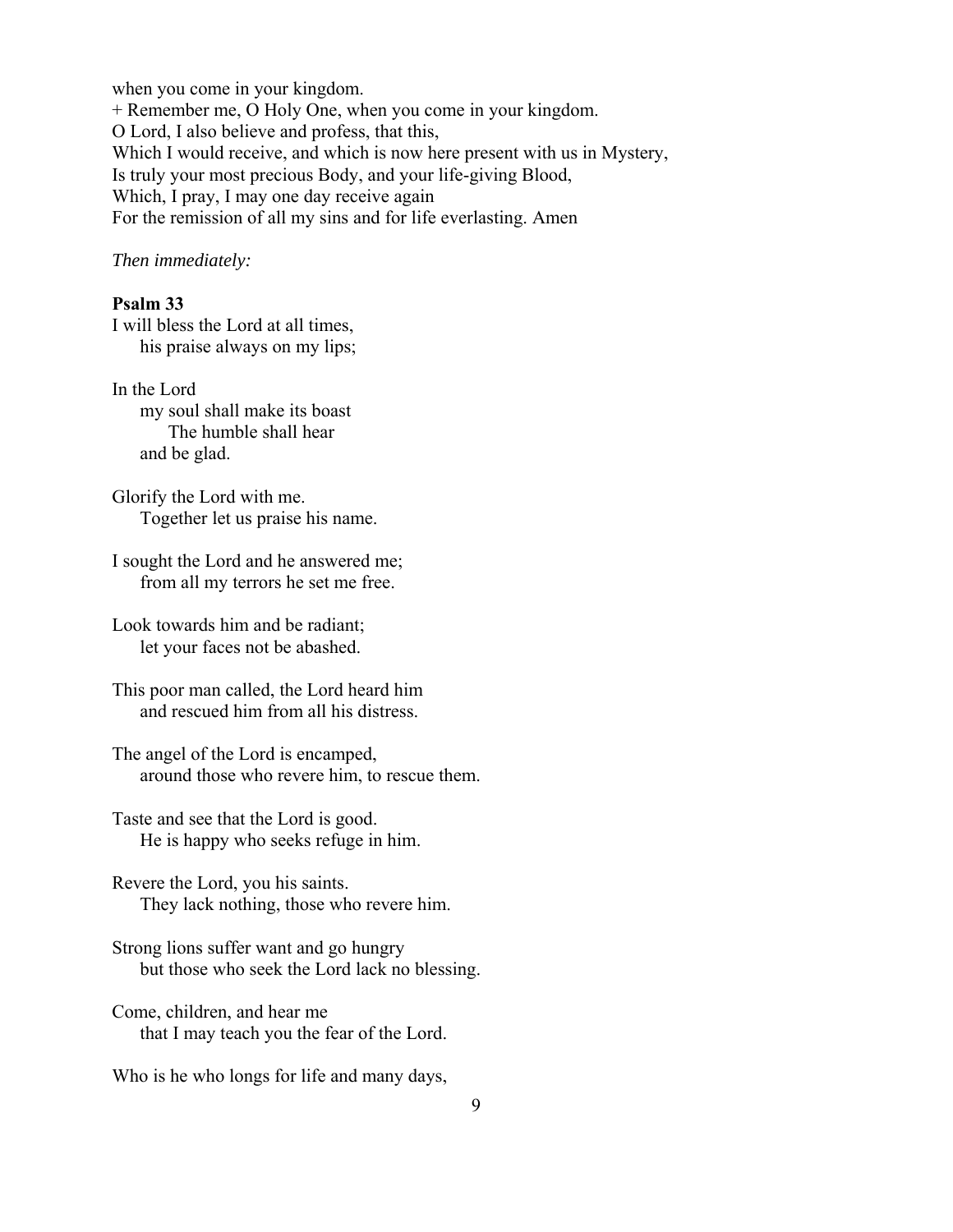when you come in your kingdom. + Remember me, O Holy One, when you come in your kingdom. O Lord, I also believe and profess, that this, Which I would receive, and which is now here present with us in Mystery, Is truly your most precious Body, and your life-giving Blood, Which, I pray, I may one day receive again For the remission of all my sins and for life everlasting. Amen

*Then immediately:*

# **Psalm 33**

I will bless the Lord at all times, his praise always on my lips;

In the Lord my soul shall make its boast The humble shall hear and be glad.

Glorify the Lord with me. Together let us praise his name.

I sought the Lord and he answered me; from all my terrors he set me free.

Look towards him and be radiant; let your faces not be abashed.

This poor man called, the Lord heard him and rescued him from all his distress.

The angel of the Lord is encamped, around those who revere him, to rescue them.

Taste and see that the Lord is good. He is happy who seeks refuge in him.

Revere the Lord, you his saints. They lack nothing, those who revere him.

Strong lions suffer want and go hungry but those who seek the Lord lack no blessing.

Come, children, and hear me that I may teach you the fear of the Lord.

Who is he who longs for life and many days,